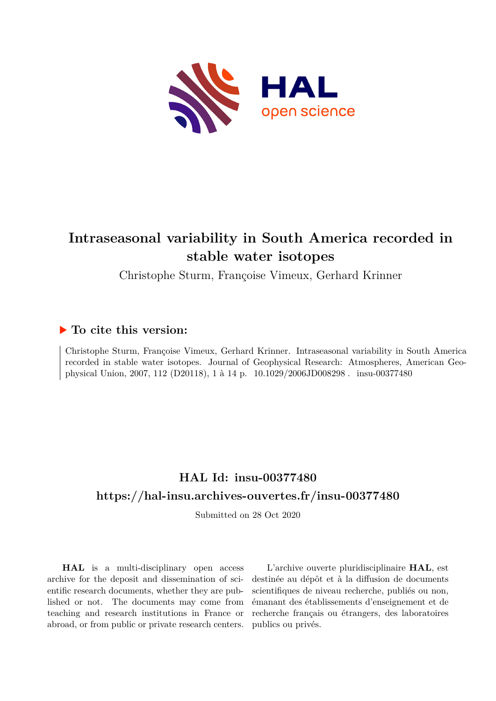

# **Intraseasonal variability in South America recorded in stable water isotopes**

Christophe Sturm, Françoise Vimeux, Gerhard Krinner

# **To cite this version:**

Christophe Sturm, Françoise Vimeux, Gerhard Krinner. Intraseasonal variability in South America recorded in stable water isotopes. Journal of Geophysical Research: Atmospheres, American Geophysical Union, 2007, 112 (D20118), 1 à 14 p. 10.1029/2006JD008298. insu-00377480

# **HAL Id: insu-00377480 <https://hal-insu.archives-ouvertes.fr/insu-00377480>**

Submitted on 28 Oct 2020

**HAL** is a multi-disciplinary open access archive for the deposit and dissemination of scientific research documents, whether they are published or not. The documents may come from teaching and research institutions in France or abroad, or from public or private research centers.

L'archive ouverte pluridisciplinaire **HAL**, est destinée au dépôt et à la diffusion de documents scientifiques de niveau recherche, publiés ou non, émanant des établissements d'enseignement et de recherche français ou étrangers, des laboratoires publics ou privés.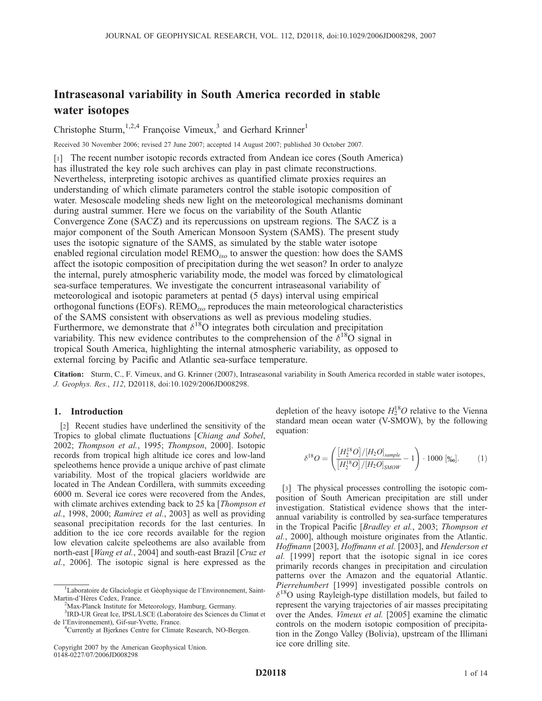# Intraseasonal variability in South America recorded in stable water isotopes

Christophe Sturm,<sup>1,2,4</sup> Françoise Vimeux,<sup>3</sup> and Gerhard Krinner<sup>1</sup>

Received 30 November 2006; revised 27 June 2007; accepted 14 August 2007; published 30 October 2007.

[1] The recent number isotopic records extracted from Andean ice cores (South America) has illustrated the key role such archives can play in past climate reconstructions. Nevertheless, interpreting isotopic archives as quantified climate proxies requires an understanding of which climate parameters control the stable isotopic composition of water. Mesoscale modeling sheds new light on the meteorological mechanisms dominant during austral summer. Here we focus on the variability of the South Atlantic Convergence Zone (SACZ) and its repercussions on upstream regions. The SACZ is a major component of the South American Monsoon System (SAMS). The present study uses the isotopic signature of the SAMS, as simulated by the stable water isotope enabled regional circulation model  $REMO_{iso}$  to answer the question: how does the SAMS affect the isotopic composition of precipitation during the wet season? In order to analyze the internal, purely atmospheric variability mode, the model was forced by climatological sea-surface temperatures. We investigate the concurrent intraseasonal variability of meteorological and isotopic parameters at pentad (5 days) interval using empirical orthogonal functions (EOFs).  $\text{REMO}_{iso}$  reproduces the main meteorological characteristics of the SAMS consistent with observations as well as previous modeling studies. Furthermore, we demonstrate that  $\delta^{18}$ O integrates both circulation and precipitation variability. This new evidence contributes to the comprehension of the  $\delta^{18}O$  signal in tropical South America, highlighting the internal atmospheric variability, as opposed to external forcing by Pacific and Atlantic sea-surface temperature.

Citation: Sturm, C., F. Vimeux, and G. Krinner (2007), Intraseasonal variability in South America recorded in stable water isotopes, J. Geophys. Res., 112, D20118, doi:10.1029/2006JD008298.

#### 1. Introduction

[2] Recent studies have underlined the sensitivity of the Tropics to global climate fluctuations [Chiang and Sobel, 2002; Thompson et al., 1995; Thompson, 2000]. Isotopic records from tropical high altitude ice cores and low-land speleothems hence provide a unique archive of past climate variability. Most of the tropical glaciers worldwide are located in The Andean Cordillera, with summits exceeding 6000 m. Several ice cores were recovered from the Andes, with climate archives extending back to 25 ka [*Thompson et*]  $al.$ , 1998, 2000; Ramirez et al., 2003] as well as providing seasonal precipitation records for the last centuries. In addition to the ice core records available for the region low elevation calcite speleothems are also available from north-east [Wang et al., 2004] and south-east Brazil [Cruz et al., 2006]. The isotopic signal is here expressed as the

depletion of the heavy isotope  $H_2^{18}O$  relative to the Vienna standard mean ocean water (V-SMOW), by the following equation:

$$
\delta^{18}O = \left(\frac{[H_2^{18}O]/[H_2O]_{sample}}{[H_2^{18}O]/[H_2O]_{SMOW}} - 1\right) \cdot 1000 \, [\text{\%o}].\tag{1}
$$

[3] The physical processes controlling the isotopic composition of South American precipitation are still under investigation. Statistical evidence shows that the interannual variability is controlled by sea-surface temperatures in the Tropical Pacific [Bradley et al., 2003; Thompson et al., 2000], although moisture originates from the Atlantic. Hoffmann [2003], Hoffmann et al. [2003], and Henderson et al. [1999] report that the isotopic signal in ice cores primarily records changes in precipitation and circulation patterns over the Amazon and the equatorial Atlantic. Pierrehumbert [1999] investigated possible controls on  $\delta^{18}$ O using Rayleigh-type distillation models, but failed to represent the varying trajectories of air masses precipitating over the Andes. Vimeux et al. [2005] examine the climatic controls on the modern isotopic composition of precipitation in the Zongo Valley (Bolivia), upstream of the Illimani ice core drilling site.

<sup>&</sup>lt;sup>1</sup>Laboratoire de Glaciologie et Géophysique de l'Environnement, Saint-Martin-d'Hères Cedex, France.

<sup>&</sup>lt;sup>2</sup>Max-Planck Institute for Meteorology, Hamburg, Germany.

<sup>3</sup> IRD-UR Great Ice, IPSL/LSCE (Laboratoire des Sciences du Climat et de l'Environnement), Gif-sur-Yvette, France. <sup>4</sup>

<sup>&</sup>lt;sup>4</sup> Currently at Bjerknes Centre for Climate Research, NO-Bergen.

Copyright 2007 by the American Geophysical Union. 0148-0227/07/2006JD008298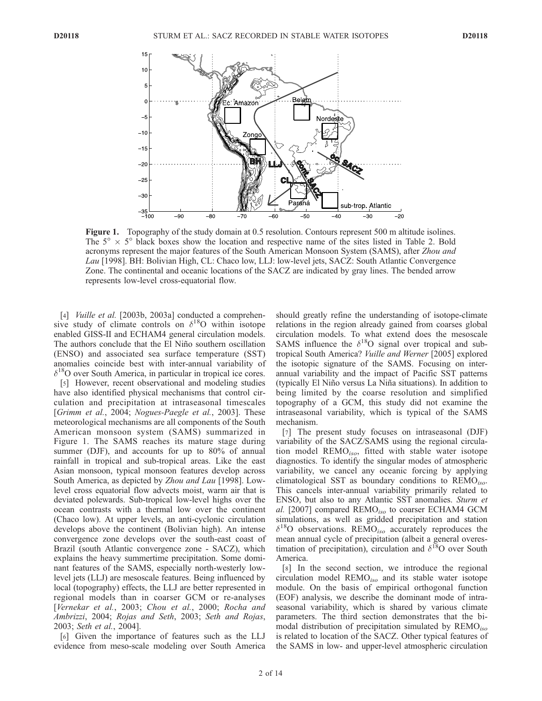

Figure 1. Topography of the study domain at 0.5 resolution. Contours represent 500 m altitude isolines. The  $5^\circ \times 5^\circ$  black boxes show the location and respective name of the sites listed in Table 2. Bold acronyms represent the major features of the South American Monsoon System (SAMS), after Zhou and Lau [1998]. BH: Bolivian High, CL: Chaco low, LLJ: low-level jets, SACZ: South Atlantic Convergence Zone. The continental and oceanic locations of the SACZ are indicated by gray lines. The bended arrow represents low-level cross-equatorial flow.

[4] *Vuille et al.* [2003b, 2003a] conducted a comprehensive study of climate controls on  $\delta^{18}$ O within isotope enabled GISS-II and ECHAM4 general circulation models. The authors conclude that the El Niño southern oscillation (ENSO) and associated sea surface temperature (SST) anomalies coincide best with inter-annual variability of  $\delta^{18}$ O over South America, in particular in tropical ice cores.

[5] However, recent observational and modeling studies have also identified physical mechanisms that control circulation and precipitation at intraseasonal timescales [Grimm et al., 2004; Nogues-Paegle et al., 2003]. These meteorological mechanisms are all components of the South American monsoon system (SAMS) summarized in Figure 1. The SAMS reaches its mature stage during summer (DJF), and accounts for up to 80% of annual rainfall in tropical and sub-tropical areas. Like the east Asian monsoon, typical monsoon features develop across South America, as depicted by Zhou and Lau [1998]. Lowlevel cross equatorial flow advects moist, warm air that is deviated polewards. Sub-tropical low-level highs over the ocean contrasts with a thermal low over the continent (Chaco low). At upper levels, an anti-cyclonic circulation develops above the continent (Bolivian high). An intense convergence zone develops over the south-east coast of Brazil (south Atlantic convergence zone - SACZ), which explains the heavy summertime precipitation. Some dominant features of the SAMS, especially north-westerly lowlevel jets (LLJ) are mesoscale features. Being influenced by local (topography) effects, the LLJ are better represented in regional models than in coarser GCM or re-analyses [Vernekar et al., 2003; Chou et al., 2000; Rocha and Ambrizzi, 2004; Rojas and Seth, 2003; Seth and Rojas, 2003; Seth et al., 2004].

[6] Given the importance of features such as the LLJ evidence from meso-scale modeling over South America

should greatly refine the understanding of isotope-climate relations in the region already gained from coarses global circulation models. To what extend does the mesoscale SAMS influence the  $\delta^{18}O$  signal over tropical and subtropical South America? Vuille and Werner [2005] explored the isotopic signature of the SAMS. Focusing on interannual variability and the impact of Pacific SST patterns (typically El Nin˜o versus La Nin˜a situations). In addition to being limited by the coarse resolution and simplified topography of a GCM, this study did not examine the intraseasonal variability, which is typical of the SAMS mechanism.

[7] The present study focuses on intraseasonal (DJF) variability of the SACZ/SAMS using the regional circulation model  $\text{REMO}_{iso}$ , fitted with stable water isotope diagnostics. To identify the singular modes of atmospheric variability, we cancel any oceanic forcing by applying climatological SST as boundary conditions to  $\text{REMO}_{iso}$ . This cancels inter-annual variability primarily related to ENSO, but also to any Atlantic SST anomalies. Sturm et  $al.$  [2007] compared REMO<sub>iso</sub> to coarser ECHAM4 GCM simulations, as well as gridded precipitation and station  $\delta^{18}$ O observations. REMO<sub>iso</sub> accurately reproduces the mean annual cycle of precipitation (albeit a general overestimation of precipitation), circulation and  $\delta^{18}$ O over South America.

[8] In the second section, we introduce the regional circulation model  $\text{REMO}_{iso}$  and its stable water isotope module. On the basis of empirical orthogonal function (EOF) analysis, we describe the dominant mode of intraseasonal variability, which is shared by various climate parameters. The third section demonstrates that the bimodal distribution of precipitation simulated by  $\text{REMO}_{iso}$ is related to location of the SACZ. Other typical features of the SAMS in low- and upper-level atmospheric circulation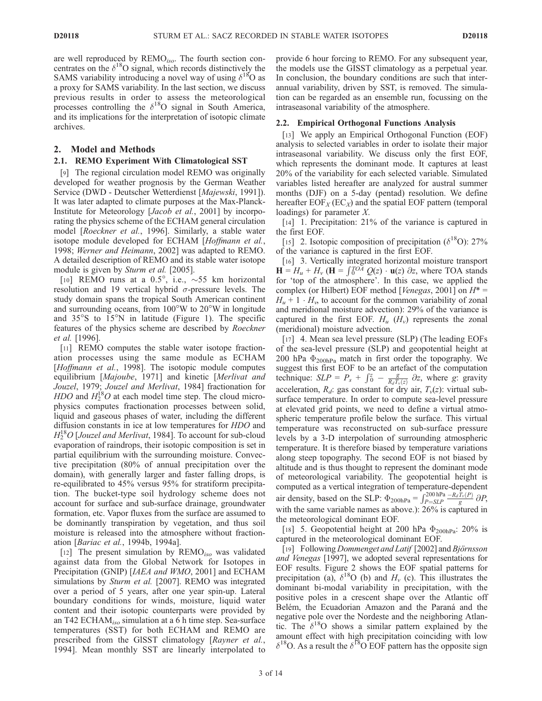are well reproduced by REMO<sub>iso</sub>. The fourth section concentrates on the  $\delta^{18}$ O signal, which records distinctively the SAMS variability introducing a novel way of using  $\delta^{18}O$  as a proxy for SAMS variability. In the last section, we discuss previous results in order to assess the meteorological processes controlling the  $\delta^{18}O$  signal in South America, and its implications for the interpretation of isotopic climate archives.

## 2. Model and Methods

## 2.1. REMO Experiment With Climatological SST

[9] The regional circulation model REMO was originally developed for weather prognosis by the German Weather Service (DWD - Deutscher Wetterdienst [Majewski, 1991]). It was later adapted to climate purposes at the Max-Planck-Institute for Meteorology [Jacob et al., 2001] by incorporating the physics scheme of the ECHAM general circulation model [Roeckner et al., 1996]. Similarly, a stable water isotope module developed for ECHAM [Hoffmann et al., 1998; Werner and Heimann, 2002] was adapted to REMO. A detailed description of REMO and its stable water isotope module is given by *Sturm et al.* [2005].

[10] REMO runs at a  $0.5^\circ$ , i.e.,  $\sim 55$  km horizontal resolution and 19 vertical hybrid  $\sigma$ -pressure levels. The study domain spans the tropical South American continent and surrounding oceans, from  $100^{\circ}$ W to  $20^{\circ}$ W in longitude and  $35^{\circ}$ S to  $15^{\circ}$ N in latitude (Figure 1). The specific features of the physics scheme are described by Roeckner et al. [1996].

[11] REMO computes the stable water isotope fractionation processes using the same module as ECHAM [Hoffmann et al., 1998]. The isotopic module computes equilibrium [Majoube, 1971] and kinetic [Merlivat and Jouzel, 1979; Jouzel and Merlivat, 1984] fractionation for *HDO* and  $H_2^{18}$ O at each model time step. The cloud microphysics computes fractionation processes between solid, liquid and gaseous phases of water, including the different diffusion constants in ice at low temperatures for HDO and  $H_2^{18}O$  [Jouzel and Merlivat, 1984]. To account for sub-cloud evaporation of raindrops, their isotopic composition is set in partial equilibrium with the surrounding moisture. Convective precipitation (80% of annual precipitation over the domain), with generally larger and faster falling drops, is re-equilibrated to 45% versus 95% for stratiform precipitation. The bucket-type soil hydrology scheme does not account for surface and sub-surface drainage, groundwater formation, etc. Vapor fluxes from the surface are assumed to be dominantly transpiration by vegetation, and thus soil moisture is released into the atmosphere without fractionation [Bariac et al., 1994b, 1994a].

[12] The present simulation by  $\text{REMO}_{iso}$  was validated against data from the Global Network for Isotopes in Precipitation (GNIP) [*IAEA and WMO*, 2001] and ECHAM simulations by *Sturm et al.* [2007]. REMO was integrated over a period of 5 years, after one year spin-up. Lateral boundary conditions for winds, moisture, liquid water content and their isotopic counterparts were provided by an T42 ECHA $M_{iso}$  simulation at a 6 h time step. Sea-surface temperatures (SST) for both ECHAM and REMO are prescribed from the GISST climatology [Rayner et al., 1994]. Mean monthly SST are linearly interpolated to

provide 6 hour forcing to REMO. For any subsequent year, the models use the GISST climatology as a perpetual year. In conclusion, the boundary conditions are such that interannual variability, driven by SST, is removed. The simulation can be regarded as an ensemble run, focussing on the intraseasonal variability of the atmosphere.

#### 2.2. Empirical Orthogonal Functions Analysis

[13] We apply an Empirical Orthogonal Function (EOF) analysis to selected variables in order to isolate their major intraseasonal variability. We discuss only the first EOF, which represents the dominant mode. It captures at least 20% of the variability for each selected variable. Simulated variables listed hereafter are analyzed for austral summer months (DJF) on a 5-day (pentad) resolution. We define hereafter  $EOF<sub>X</sub>(EC<sub>X</sub>)$  and the spatial EOF pattern (temporal loadings) for parameter X.

[14] 1. Precipitation: 21% of the variance is captured in the first EOF.

[15] 2. Isotopic composition of precipitation ( $\delta^{18}O$ ): 27% of the variance is captured in the first EOF.

[16] 3. Vertically integrated horizontal moisture transport  $H = H_u + H_v$  ( $H = \int_0^{TOA} Q(z) \cdot u(z) dz$ , where TOA stands for 'top of the atmosphere'. In this case, we applied the complex (or Hilbert) EOF method [Venegas, 2001] on  $H^*$  =  $H_u + 1 \cdot H_v$ , to account for the common variability of zonal and meridional moisture advection): 29% of the variance is captured in the first EOF.  $H_u$  ( $H_v$ ) represents the zonal (meridional) moisture advection.

[17] 4. Mean sea level pressure (SLP) (The leading EOFs of the sea-level pressure (SLP) and geopotential height at 200 hPa  $\Phi_{200hPa}$  match in first order the topography. We suggest this first EOF to be an artefact of the computation technique:  $SLP = P_s + \int_0^z - \frac{g}{R_d T_v(z)} \partial z$ , where g: gravity acceleration,  $R_d$ : gas constant for dry air,  $T_v(z)$ : virtual subsurface temperature. In order to compute sea-level pressure at elevated grid points, we need to define a virtual atmospheric temperature profile below the surface. This virtual temperature was reconstructed on sub-surface pressure levels by a 3-D interpolation of surrounding atmospheric temperature. It is therefore biased by temperature variations along steep topography. The second EOF is not biased by altitude and is thus thought to represent the dominant mode of meteorological variability. The geopotential height is computed as a vertical integration of temperature-dependent air density, based on the SLP:  $\Phi_{200hPa} = \int_{P=SLP}^{200hPa} \frac{-R_dT_v(P)}{g} \frac{\partial P_v}{\partial P_v}$ with the same variable names as above.): 26% is captured in the meteorological dominant EOF.

[18] 5. Geopotential height at 200 hPa  $\Phi$ <sub>200hPa</sub>: 20% is captured in the meteorological dominant EOF.

[19] Following Dommenget and Latif  $[2002]$  and Björnsson and Venegas [1997], we adopted several representations for EOF results. Figure 2 shows the EOF spatial patterns for precipitation (a),  $\delta^{18}O$  (b) and  $H_v$  (c). This illustrates the dominant bi-modal variability in precipitation, with the positive poles in a crescent shape over the Atlantic off Belém, the Ecuadorian Amazon and the Paraná and the negative pole over the Nordeste and the neighboring Atlantic. The  $\delta^{18}$ O shows a similar pattern explained by the amount effect with high precipitation coinciding with low  $\delta^{18}$ O. As a result the  $\delta^{18}$ O EOF pattern has the opposite sign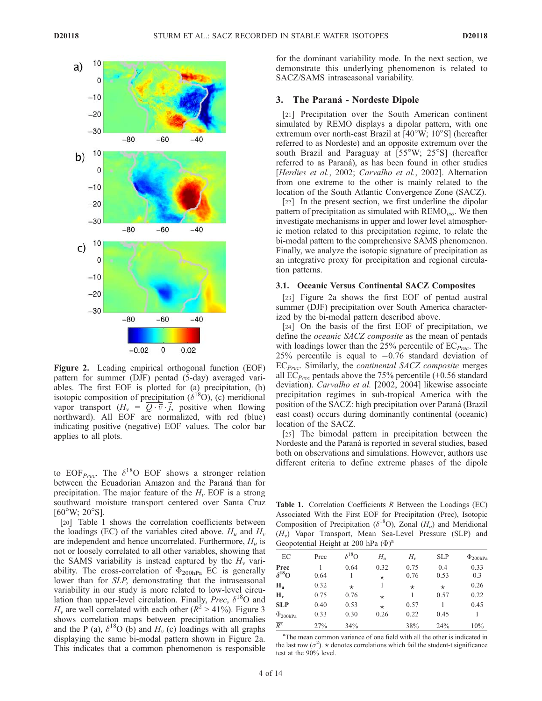

Figure 2. Leading empirical orthogonal function (EOF) pattern for summer (DJF) pentad (5-day) averaged variables. The first EOF is plotted for (a) precipitation, (b) isotopic composition of precipitation ( $\delta^{18}$ O), (c) meridional vapor transport  $(H_v = \overline{Q \cdot \vec{v}} \cdot \vec{j}$ , positive when flowing northward). All EOF are normalized, with red (blue) indicating positive (negative) EOF values. The color bar applies to all plots.

to EOF<sub>Prec</sub>. The  $\delta^{18}$ O EOF shows a stronger relation between the Ecuadorian Amazon and the Paraná than for precipitation. The major feature of the  $H<sub>v</sub>$  EOF is a strong southward moisture transport centered over Santa Cruz  $[60^{\circ}W; 20^{\circ}S]$ .

[20] Table 1 shows the correlation coefficients between the loadings (EC) of the variables cited above.  $H_u$  and  $H_v$ are independent and hence uncorrelated. Furthermore,  $H_u$  is not or loosely correlated to all other variables, showing that the SAMS variability is instead captured by the  $H_v$  variability. The cross-correlation of  $\Phi_{200hPa}$  EC is generally lower than for SLP, demonstrating that the intraseasonal variability in our study is more related to low-level circulation than upper-level circulation. Finally, *Prec*,  $\delta^{18}O$  and  $H<sub>v</sub>$  are well correlated with each other ( $R<sup>2</sup> > 41\%$ ). Figure 3 shows correlation maps between precipitation anomalies and the P (a),  $\delta^{18}O$  (b) and  $H_v$  (c) loadings with all graphs displaying the same bi-modal pattern shown in Figure 2a. This indicates that a common phenomenon is responsible

for the dominant variability mode. In the next section, we demonstrate this underlying phenomenon is related to SACZ/SAMS intraseasonal variability.

#### 3. The Paraná - Nordeste Dipole

[21] Precipitation over the South American continent simulated by REMO displays a dipolar pattern, with one extremum over north-east Brazil at  $[40^{\circ}W; 10^{\circ}S]$  (hereafter referred to as Nordeste) and an opposite extremum over the south Brazil and Paraguay at  $[55°W; 25°S]$  (hereafter referred to as Paraná), as has been found in other studies [Herdies et al., 2002; Carvalho et al., 2002]. Alternation from one extreme to the other is mainly related to the location of the South Atlantic Convergence Zone (SACZ).

[22] In the present section, we first underline the dipolar pattern of precipitation as simulated with  $\text{REMO}_{iso}$ . We then investigate mechanisms in upper and lower level atmospheric motion related to this precipitation regime, to relate the bi-modal pattern to the comprehensive SAMS phenomenon. Finally, we analyze the isotopic signature of precipitation as an integrative proxy for precipitation and regional circulation patterns.

#### 3.1. Oceanic Versus Continental SACZ Composites

[23] Figure 2a shows the first EOF of pentad austral summer (DJF) precipitation over South America characterized by the bi-modal pattern described above.

[24] On the basis of the first EOF of precipitation, we define the *oceanic SACZ composite* as the mean of pentads with loadings lower than the 25% percentile of  $EC_{Prec}$ . The 25% percentile is equal to  $-0.76$  standard deviation of  $EC<sub>Prec</sub>$ . Similarly, the *continental SACZ composite* merges all  $EC_{Prec}$  pentads above the 75% percentile (+0.56 standard deviation). Carvalho et al. [2002, 2004] likewise associate precipitation regimes in sub-tropical America with the position of the SACZ: high precipitation over Paraná (Brazil east coast) occurs during dominantly continental (oceanic) location of the SACZ.

[25] The bimodal pattern in precipitation between the Nordeste and the Paraná is reported in several studies, based both on observations and simulations. However, authors use different criteria to define extreme phases of the dipole

Table 1. Correlation Coefficients R Between the Loadings (EC) Associated With the First EOF for Precipitation (Prec), Isotopic Composition of Precipitation ( $\delta^{18}$ O), Zonal (H<sub>u</sub>) and Meridional  $(H_v)$  Vapor Transport, Mean Sea-Level Pressure (SLP) and Geopotential Height at 200 hPa  $(\Phi)^a$ 

|                          | ~    |                 |                 |              |             |                 |
|--------------------------|------|-----------------|-----------------|--------------|-------------|-----------------|
| EС                       | Prec | $\delta^{18}$ O | $H_u$           | $H_{\nu}$    | <b>SLP</b>  | $\Phi_{200hPa}$ |
| Prec<br>$\delta^{18}$ O  | 0.64 | 0.64            | 0.32<br>$\star$ | 0.75<br>0.76 | 0.4<br>0.53 | 0.33<br>0.3     |
| $H_{\rm u}$              | 0.32 | $^\star$        |                 | $^\star$     | $^\star$    | 0.26            |
| $H_v$                    | 0.75 | 0.76            | $^\star$        |              | 0.57        | 0.22            |
| <b>SLP</b>               | 0.40 | 0.53            | $^\star$        | 0.57         |             | 0.45            |
| $\Phi$ <sub>200hPa</sub> | 0.33 | 0.30            | 0.26            | 0.22         | 0.45        |                 |
| $\overline{R^2}$         | 27%  | 34%             |                 | 38%          | 24%         | 10%             |

<sup>a</sup>The mean common variance of one field with all the other is indicated in the last row ( $\sigma^2$ ).  $\star$  denotes correlations which fail the student-t significance test at the 90% level.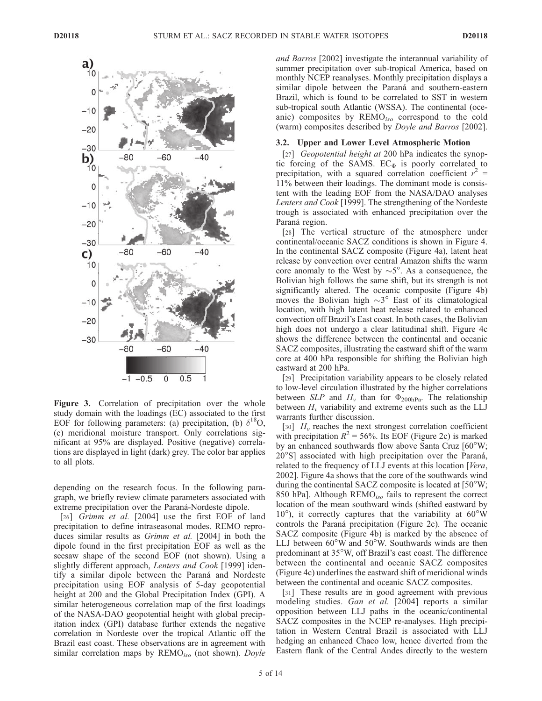

Figure 3. Correlation of precipitation over the whole study domain with the loadings (EC) associated to the first EOF for following parameters: (a) precipitation, (b)  $\delta^{18}O$ , (c) meridional moisture transport. Only correlations significant at 95% are displayed. Positive (negative) correlations are displayed in light (dark) grey. The color bar applies to all plots.

depending on the research focus. In the following paragraph, we briefly review climate parameters associated with extreme precipitation over the Paraná-Nordeste dipole.

[26] Grimm et al. [2004] use the first EOF of land precipitation to define intraseasonal modes. REMO reproduces similar results as *Grimm et al.* [2004] in both the dipole found in the first precipitation EOF as well as the seesaw shape of the second EOF (not shown). Using a slightly different approach, Lenters and Cook [1999] identify a similar dipole between the Paraná and Nordeste precipitation using EOF analysis of 5-day geopotential height at 200 and the Global Precipitation Index (GPI). A similar heterogeneous correlation map of the first loadings of the NASA-DAO geopotential height with global precipitation index (GPI) database further extends the negative correlation in Nordeste over the tropical Atlantic off the Brazil east coast. These observations are in agreement with similar correlation maps by  $\text{REMO}_{iso}$  (not shown). Doyle and Barros [2002] investigate the interannual variability of summer precipitation over sub-tropical America, based on monthly NCEP reanalyses. Monthly precipitation displays a similar dipole between the Paraná and southern-eastern Brazil, which is found to be correlated to SST in western sub-tropical south Atlantic (WSSA). The continental (oceanic) composites by REMO<sub>iso</sub> correspond to the cold (warm) composites described by Doyle and Barros [2002].

#### 3.2. Upper and Lower Level Atmospheric Motion

[27] Geopotential height at 200 hPa indicates the synoptic forcing of the SAMS.  $EC_{\Phi}$  is poorly correlated to precipitation, with a squared correlation coefficient  $r^2$  = 11% between their loadings. The dominant mode is consistent with the leading EOF from the NASA/DAO analyses Lenters and Cook [1999]. The strengthening of the Nordeste trough is associated with enhanced precipitation over the Paraná region.

[28] The vertical structure of the atmosphere under continental/oceanic SACZ conditions is shown in Figure 4. In the continental SACZ composite (Figure 4a), latent heat release by convection over central Amazon shifts the warm core anomaly to the West by  $\sim 5^\circ$ . As a consequence, the Bolivian high follows the same shift, but its strength is not significantly altered. The oceanic composite (Figure 4b) moves the Bolivian high  $\sim$ 3° East of its climatological location, with high latent heat release related to enhanced convection off Brazil's East coast. In both cases, the Bolivian high does not undergo a clear latitudinal shift. Figure 4c shows the difference between the continental and oceanic SACZ composites, illustrating the eastward shift of the warm core at 400 hPa responsible for shifting the Bolivian high eastward at 200 hPa.

[29] Precipitation variability appears to be closely related to low-level circulation illustrated by the higher correlations between *SLP* and  $H_v$  than for  $\Phi_{200hPa}$ . The relationship between  $H<sub>v</sub>$  variability and extreme events such as the LLJ warrants further discussion.

[30]  $H<sub>v</sub>$  reaches the next strongest correlation coefficient with precipitation  $R^2 = 56\%$ . Its EOF (Figure 2c) is marked by an enhanced southwards flow above Santa Cruz [60°W;  $20^{\circ}$ S] associated with high precipitation over the Paraná, related to the frequency of LLJ events at this location [Vera, 2002]. Figure 4a shows that the core of the southwards wind during the continental SACZ composite is located at  $[50^{\circ}W;$ 850 hPa]. Although  $\text{REMO}_{iso}$  fails to represent the correct location of the mean southward winds (shifted eastward by  $10^{\circ}$ ), it correctly captures that the variability at  $60^{\circ}$ W controls the Paraná precipitation (Figure 2c). The oceanic SACZ composite (Figure 4b) is marked by the absence of LLJ between  $60^{\circ}$ W and  $50^{\circ}$ W. Southwards winds are then predominant at 35°W, off Brazil's east coast. The difference between the continental and oceanic SACZ composites (Figure 4c) underlines the eastward shift of meridional winds between the continental and oceanic SACZ composites.

[31] These results are in good agreement with previous modeling studies. Gan et al. [2004] reports a similar opposition between LLJ paths in the oceanic/continental SACZ composites in the NCEP re-analyses. High precipitation in Western Central Brazil is associated with LLJ hedging an enhanced Chaco low, hence diverted from the Eastern flank of the Central Andes directly to the western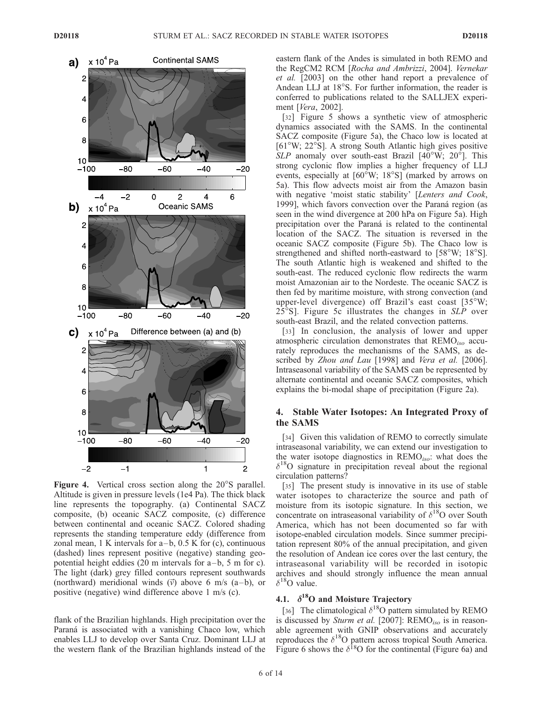

Figure 4. Vertical cross section along the 20°S parallel. Altitude is given in pressure levels (1e4 Pa). The thick black line represents the topography. (a) Continental SACZ composite, (b) oceanic SACZ composite, (c) difference between continental and oceanic SACZ. Colored shading represents the standing temperature eddy (difference from zonal mean,  $1 \text{ K}$  intervals for  $a-b$ ,  $0.5 \text{ K}$  for (c), continuous (dashed) lines represent positive (negative) standing geopotential height eddies  $(20 \text{ m}$  intervals for a-b, 5 m for c). The light (dark) grey filled contours represent southwards (northward) meridional winds  $(\vec{v})$  above 6 m/s (a-b), or positive (negative) wind difference above 1 m/s (c).

flank of the Brazilian highlands. High precipitation over the Paraná is associated with a vanishing Chaco low, which enables LLJ to develop over Santa Cruz. Dominant LLJ at the western flank of the Brazilian highlands instead of the

eastern flank of the Andes is simulated in both REMO and the RegCM2 RCM [Rocha and Ambrizzi, 2004]. Vernekar et al. [2003] on the other hand report a prevalence of Andean LLJ at 18°S. For further information, the reader is conferred to publications related to the SALLJEX experiment [Vera, 2002].

[32] Figure 5 shows a synthetic view of atmospheric dynamics associated with the SAMS. In the continental SACZ composite (Figure 5a), the Chaco low is located at  $[61^{\circ}W; 22^{\circ}S]$ . A strong South Atlantic high gives positive  $SLP$  anomaly over south-east Brazil [40°W; 20°]. This strong cyclonic flow implies a higher frequency of LLJ events, especially at  $[60^{\circ}W; 18^{\circ}S]$  (marked by arrows on 5a). This flow advects moist air from the Amazon basin with negative 'moist static stability' [Lenters and Cook, 1999], which favors convection over the Paraná region (as seen in the wind divergence at 200 hPa on Figure 5a). High precipitation over the Paraná is related to the continental location of the SACZ. The situation is reversed in the oceanic SACZ composite (Figure 5b). The Chaco low is strengthened and shifted north-eastward to  $[58^\circ W; 18^\circ S]$ . The south Atlantic high is weakened and shifted to the south-east. The reduced cyclonic flow redirects the warm moist Amazonian air to the Nordeste. The oceanic SACZ is then fed by maritime moisture, with strong convection (and upper-level divergence) off Brazil's east coast  $[35^{\circ}W;$  $25^{\circ}$ S]. Figure 5c illustrates the changes in SLP over south-east Brazil, and the related convection patterns.

[33] In conclusion, the analysis of lower and upper atmospheric circulation demonstrates that  $\text{REMO}_{iso}$  accurately reproduces the mechanisms of the SAMS, as described by Zhou and Lau [1998] and Vera et al. [2006]. Intraseasonal variability of the SAMS can be represented by alternate continental and oceanic SACZ composites, which explains the bi-modal shape of precipitation (Figure 2a).

### 4. Stable Water Isotopes: An Integrated Proxy of the SAMS

[34] Given this validation of REMO to correctly simulate intraseasonal variability, we can extend our investigation to the water isotope diagnostics in  $\text{REMO}_{iso}$ : what does the  $\delta^{18}$ O signature in precipitation reveal about the regional circulation patterns?

[35] The present study is innovative in its use of stable water isotopes to characterize the source and path of moisture from its isotopic signature. In this section, we concentrate on intraseasonal variability of  $\delta^{18}$ O over South America, which has not been documented so far with isotope-enabled circulation models. Since summer precipitation represent 80% of the annual precipitation, and given the resolution of Andean ice cores over the last century, the intraseasonal variability will be recorded in isotopic archives and should strongly influence the mean annual  $\delta^{18}$ O value.

## 4.1.  $\delta^{18}$ O and Moisture Trajectory

[36] The climatological  $\delta^{18}$ O pattern simulated by REMO is discussed by Sturm et al. [2007]:  $REMO<sub>iso</sub>$  is in reasonable agreement with GNIP observations and accurately reproduces the  $\delta^{18}$ O pattern across tropical South America. Figure 6 shows the  $\delta^{18}$ O for the continental (Figure 6a) and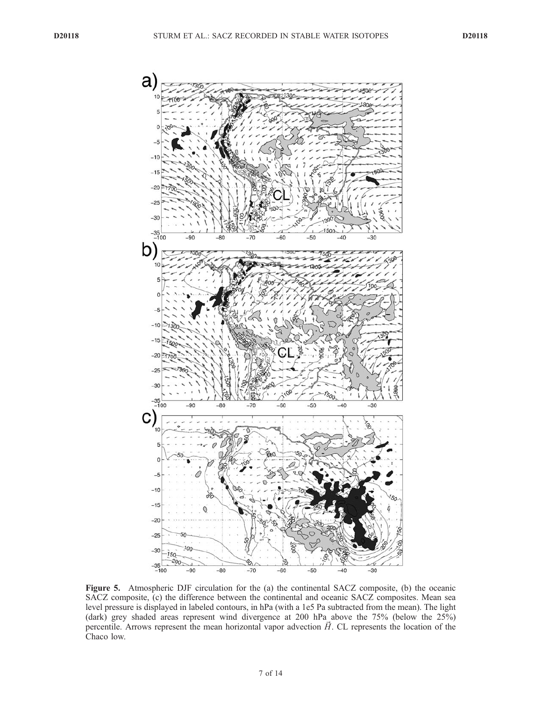

Figure 5. Atmospheric DJF circulation for the (a) the continental SACZ composite, (b) the oceanic SACZ composite, (c) the difference between the continental and oceanic SACZ composites. Mean sea level pressure is displayed in labeled contours, in hPa (with a 1e5 Pa subtracted from the mean). The light (dark) grey shaded areas represent wind divergence at 200 hPa above the 75% (below the 25%) percentile. Arrows represent the mean horizontal vapor advection  $\vec{H}$ . CL represents the location of the Chaco low.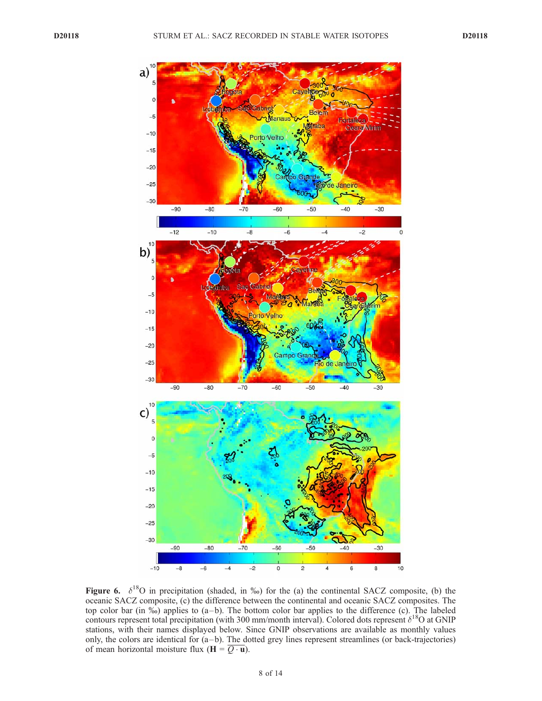

Figure 6.  $\delta^{18}$ O in precipitation (shaded, in ‰) for the (a) the continental SACZ composite, (b) the oceanic SACZ composite, (c) the difference between the continental and oceanic SACZ composites. The top color bar (in %) applies to (a – b). The bottom color bar applies to the difference (c). The labeled contours represent total precipitation (with 300 mm/month interval). Colored dots represent  $\delta^{18}O$  at GNIP stations, with their names displayed below. Since GNIP observations are available as monthly values only, the colors are identical for  $(a - b)$ . The dotted grey lines represent streamlines (or back-trajectories) of mean horizontal moisture flux ( $\mathbf{H} = \overline{Q \cdot \mathbf{u}}$ ).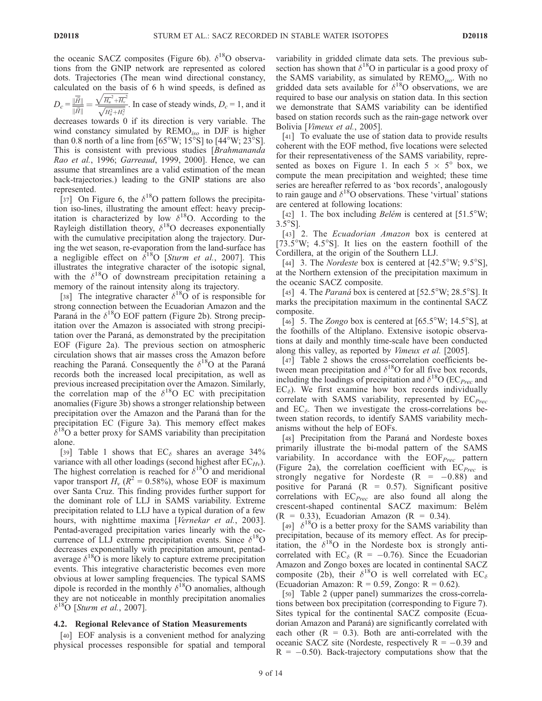the oceanic SACZ composites (Figure 6b).  $\delta^{18}$ O observations from the GNIP network are represented as colored dots. Trajectories (The mean wind directional constancy, calculated on the basis of 6 h wind speeds, is defined as

$$
D_c = \frac{\|\overline{H}\|}{\|\overline{H}\|} = \frac{\sqrt{H_u^2 + H_v^2}}{\sqrt{H_u^2 + H_v^2}}.
$$
 In case of steady winds,  $D_c = 1$ , and it

decreases towards 0 if its direction is very variable. The wind constancy simulated by  $\text{REMO}_{iso}$  in DJF is higher than 0.8 north of a line from  $[65^{\circ}W; 15^{\circ}S]$  to  $[44^{\circ}W; 23^{\circ}S]$ . This is consistent with previous studies [Brahmananda Rao et al., 1996; Garreaud, 1999, 2000]. Hence, we can assume that streamlines are a valid estimation of the mean back-trajectories.) leading to the GNIP stations are also represented.

[37] On Figure 6, the  $\delta^{18}$ O pattern follows the precipitation iso-lines, illustrating the amount effect: heavy precipitation is characterized by low  $\delta^{18}$ O. According to the Rayleigh distillation theory,  $\delta^{18}O$  decreases exponentially with the cumulative precipitation along the trajectory. During the wet season, re-evaporation from the land-surface has a negligible effect on  $\delta^{18}O$  [Sturm et al., 2007]. This illustrates the integrative character of the isotopic signal, with the  $\delta^{18}$ O of downstream precipitation retaining a memory of the rainout intensity along its trajectory.

[38] The integrative character  $\delta^{18}$ O of is responsible for strong connection between the Ecuadorian Amazon and the Paraná in the  $\delta^{18}$ O EOF pattern (Figure 2b). Strong precipitation over the Amazon is associated with strong precipitation over the Paraná, as demonstrated by the precipitation EOF (Figure 2a). The previous section on atmospheric circulation shows that air masses cross the Amazon before reaching the Paraná. Consequently the  $\delta^{18}$ O at the Paraná records both the increased local precipitation, as well as previous increased precipitation over the Amazon. Similarly, the correlation map of the  $\delta^{18}$ O EC with precipitation anomalies (Figure 3b) shows a stronger relationship between precipitation over the Amazon and the Paraná than for the precipitation EC (Figure 3a). This memory effect makes  $\delta^{18}$ O a better proxy for SAMS variability than precipitation alone.

[39] Table 1 shows that  $EC_{\delta}$  shares an average 34% variance with all other loadings (second highest after  $EC_{Hv}$ ). The highest correlation is reached for  $\delta^{18}$ O and meridional vapor transport  $H_v$  ( $R^2 = 0.58\%$ ), whose EOF is maximum over Santa Cruz. This finding provides further support for the dominant role of LLJ in SAMS variability. Extreme precipitation related to LLJ have a typical duration of a few hours, with nighttime maxima [Vernekar et al., 2003]. Pentad-averaged precipitation varies linearly with the occurrence of LLJ extreme precipitation events. Since  $\delta^{18}$ O decreases exponentially with precipitation amount, pentadaverage  $\delta^{18}$ O is more likely to capture extreme precipitation events. This integrative characteristic becomes even more obvious at lower sampling frequencies. The typical SAMS dipole is recorded in the monthly  $\delta^{18}$ O anomalies, although they are not noticeable in monthly precipitation anomalies  $\delta^{18}$ O [Sturm et al., 2007].

#### 4.2. Regional Relevance of Station Measurements

[40] EOF analysis is a convenient method for analyzing physical processes responsible for spatial and temporal

variability in gridded climate data sets. The previous subsection has shown that  $\delta^{18}$ O in particular is a good proxy of the SAMS variability, as simulated by  $REMO_{iso}$ . With no gridded data sets available for  $\delta^{18}$ O observations, we are required to base our analysis on station data. In this section we demonstrate that SAMS variability can be identified based on station records such as the rain-gage network over Bolivia [Vimeux et al., 2005].

[41] To evaluate the use of station data to provide results coherent with the EOF method, five locations were selected for their representativeness of the SAMS variability, represented as boxes on Figure 1. In each  $5 \times 5^{\circ}$  box, we compute the mean precipitation and weighted; these time series are hereafter referred to as 'box records', analogously to rain gauge and  $\delta^{18}$ O observations. These 'virtual' stations are centered at following locations:

[42] 1. The box including *Belém* is centered at  $[51.5^{\circ}W;$  $3.5^{\circ}$ S].

[43] 2. The *Ecuadorian Amazon* box is centered at  $[73.5^{\circ}W; 4.5^{\circ}S]$ . It lies on the eastern foothill of the Cordillera, at the origin of the Southern LLJ.

[44] 3. The *Nordeste* box is centered at  $[42.5\textdegree W; 9.5\textdegree S]$ , at the Northern extension of the precipitation maximum in the oceanic SACZ composite.

[45] 4. The *Paraná* box is centered at  $[52.5\textdegree W; 28.5\textdegree S]$ . It marks the precipitation maximum in the continental SACZ composite.

[46] 5. The Zongo box is centered at  $[65.5^{\circ}W; 14.5^{\circ}S]$ , at the foothills of the Altiplano. Extensive isotopic observations at daily and monthly time-scale have been conducted along this valley, as reported by Vimeux et al. [2005].

[47] Table 2 shows the cross-correlation coefficients between mean precipitation and  $\delta^{18}$ O for all five box records, including the loadings of precipitation and  $\delta^{18}O$  (EC<sub>Prec</sub> and  $EC_{\delta}$ ). We first examine how box records individually correlate with SAMS variability, represented by  $EC_{Prec}$ and  $EC_{\delta}$ . Then we investigate the cross-correlations between station records, to identify SAMS variability mechanisms without the help of EOFs.

[48] Precipitation from the Paraná and Nordeste boxes primarily illustrate the bi-modal pattern of the SAMS variability. In accordance with the  $EOF<sub>Prec</sub>$  pattern (Figure 2a), the correlation coefficient with  $EC_{Prec}$  is strongly negative for Nordeste  $(R = -0.88)$  and positive for Paraná  $(R = 0.57)$ . Significant positive correlations with  $EC<sub>Prec</sub>$  are also found all along the crescent-shaped continental SACZ maximum: Belém  $(R = 0.33)$ , Ecuadorian Amazon  $(R = 0.34)$ .

[49]  $\delta^{18}$ O is a better proxy for the SAMS variability than precipitation, because of its memory effect. As for precipitation, the  $\delta^{18}O$  in the Nordeste box is strongly anticorrelated with EC<sub> $\delta$ </sub> (R = -0.76). Since the Ecuadorian Amazon and Zongo boxes are located in continental SACZ composite (2b), their  $\delta^{18}$ O is well correlated with EC<sub> $\delta$ </sub> (Ecuadorian Amazon:  $R = 0.59$ , Zongo:  $R = 0.62$ ).

[50] Table 2 (upper panel) summarizes the cross-correlations between box precipitation (corresponding to Figure 7). Sites typical for the continental SACZ composite (Ecuadorian Amazon and Paraná) are significantly correlated with each other  $(R = 0.3)$ . Both are anti-correlated with the oceanic SACZ site (Nordeste, respectively  $R = -0.39$  and  $R = -0.50$ ). Back-trajectory computations show that the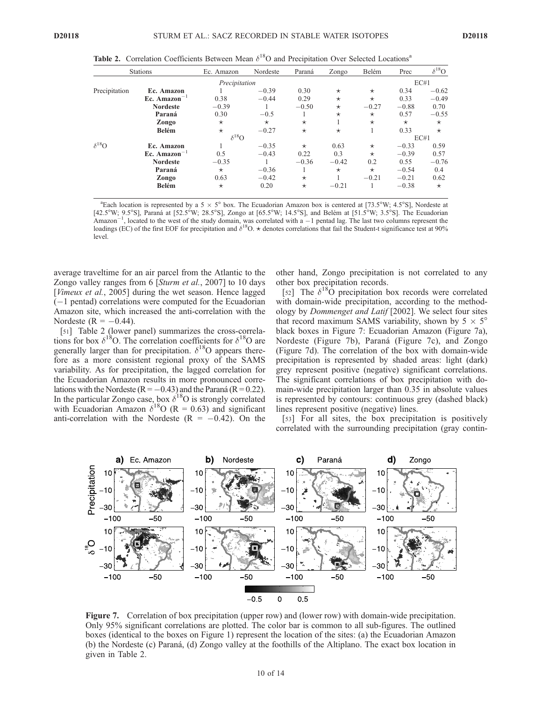| $\delta^{18}$ O |
|-----------------|
| EC#1            |
| $-0.62$         |
| $-0.49$         |
| 0.70            |
| $-0.55$         |
| $\star$         |
| $\star$         |
| EC#1            |
| 0.59            |
| 0.57            |
| $-0.76$         |
| 0.4             |
| 0.62            |
| $\star$         |
|                 |

Table 2. Correlation Coefficients Between Mean  $\delta^{18}O$  and Precipitation Over Selected Locations<sup>a</sup>

<sup>a</sup>Each location is represented by a 5  $\times$  5° box. The Ecuadorian Amazon box is centered at [73.5°W; 4.5°S], Nordeste at  $[42.5\textdegree W; 9.5\textdegree S]$ , Paraná at  $[52.5\textdegree W; 28.5\textdegree S]$ , Zongo at  $[65.5\textdegree W; 14.5\textdegree S]$ , and Belém at  $[51.5\textdegree W; 3.5\textdegree S]$ . The Ecuadorian Amazon<sup>-1</sup>, located to the west of the study domain, was correlated with a -1 pentad lag. The last two columns represent the loadings (EC) of the first EOF for precipitation and  $\delta^{18}O$ .  $\star$  denotes correlations that f level.

average traveltime for an air parcel from the Atlantic to the Zongo valley ranges from 6 [Sturm et al., 2007] to 10 days [*Vimeux et al.,* 2005] during the wet season. Hence lagged  $(-1)$  pentad) correlations were computed for the Ecuadorian Amazon site, which increased the anti-correlation with the Nordeste ( $R = -0.44$ ).

[51] Table 2 (lower panel) summarizes the cross-correlations for box  $\delta^{18}O$ . The correlation coefficients for  $\delta^{18}O$  are generally larger than for precipitation.  $\delta^{18}$ O appears therefore as a more consistent regional proxy of the SAMS variability. As for precipitation, the lagged correlation for the Ecuadorian Amazon results in more pronounced correlations with the Nordeste ( $R = -0.43$ ) and the Paraná ( $R = 0.22$ ). In the particular Zongo case, box  $\delta^{18}O$  is strongly correlated with Ecuadorian Amazon  $\delta^{18}O$  (R = 0.63) and significant anti-correlation with the Nordeste  $(R = -0.42)$ . On the

other hand, Zongo precipitation is not correlated to any other box precipitation records.

[52] The  $\delta^{18}$ O precipitation box records were correlated with domain-wide precipitation, according to the methodology by Dommenget and Latif [2002]. We select four sites that record maximum SAMS variability, shown by  $5 \times 5^{\circ}$ black boxes in Figure 7: Ecuadorian Amazon (Figure 7a), Nordeste (Figure 7b), Paraná (Figure 7c), and Zongo (Figure 7d). The correlation of the box with domain-wide precipitation is represented by shaded areas: light (dark) grey represent positive (negative) significant correlations. The significant correlations of box precipitation with domain-wide precipitation larger than 0.35 in absolute values is represented by contours: continuous grey (dashed black) lines represent positive (negative) lines.

[53] For all sites, the box precipitation is positively correlated with the surrounding precipitation (gray contin-



Figure 7. Correlation of box precipitation (upper row) and (lower row) with domain-wide precipitation. Only 95% significant correlations are plotted. The color bar is common to all sub-figures. The outlined boxes (identical to the boxes on Figure 1) represent the location of the sites: (a) the Ecuadorian Amazon (b) the Nordeste (c) Parana´, (d) Zongo valley at the foothills of the Altiplano. The exact box location in given in Table 2.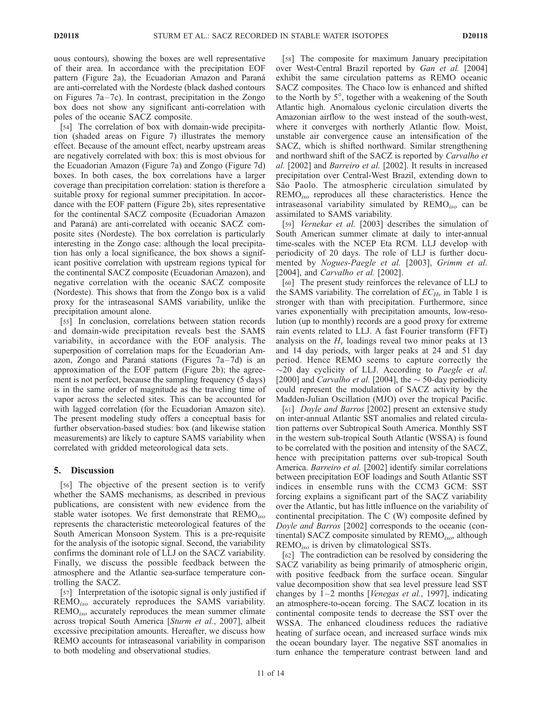uous contours), showing the boxes are well representative of their area. In accordance with the precipitation EOF pattern (Figure 2a), the Ecuadorian Amazon and Paraná are anti-correlated with the Nordeste (black dashed contours on Figures  $7a-7c$ ). In contrast, precipitation in the Zongo box does not show any significant anti-correlation with poles of the oceanic SACZ composite.

[54] The correlation of box with domain-wide precipitation (shaded areas on Figure 7) illustrates the memory effect. Because of the amount effect, nearby upstream areas are negatively correlated with box: this is most obvious for the Ecuadorian Amazon (Figure 7a) and Zongo (Figure 7d) boxes. In both cases, the box correlations have a larger coverage than precipitation correlation: station is therefore a suitable proxy for regional summer precipitation. In accordance with the EOF pattern (Figure 2b), sites representative for the continental SACZ composite (Ecuadorian Amazon and Paraná) are anti-correlated with oceanic SACZ composite sites (Nordeste). The box correlation is particularly interesting in the Zongo case: although the local precipitation has only a local significance, the box shows a significant positive correlation with upstream regions typical for the continental SACZ composite (Ecuadorian Amazon), and negative correlation with the oceanic SACZ composite (Nordeste). This shows that from the Zongo box is a valid proxy for the intraseasonal SAMS variability, unlike the precipitation amount alone.

[55] In conclusion, correlations between station records and domain-wide precipitation reveals best the SAMS variability, in accordance with the EOF analysis. The superposition of correlation maps for the Ecuadorian Amazon, Zongo and Paraná stations (Figures  $7a-7d$ ) is an approximation of the EOF pattern (Figure 2b); the agreement is not perfect, because the sampling frequency (5 days) is in the same order of magnitude as the traveling time of vapor across the selected sites. This can be accounted for with lagged correlation (for the Ecuadorian Amazon site). The present modeling study offers a conceptual basis for further observation-based studies: box (and likewise station measurements) are likely to capture SAMS variability when correlated with gridded meteorological data sets.

#### 5. Discussion

[56] The objective of the present section is to verify whether the SAMS mechanisms, as described in previous publications, are consistent with new evidence from the stable water isotopes. We first demonstrate that  $\text{REMO}_{iso}$ represents the characteristic meteorological features of the South American Monsoon System. This is a pre-requisite for the analysis of the isotopic signal. Second, the variability confirms the dominant role of LLJ on the SACZ variability. Finally, we discuss the possible feedback between the atmosphere and the Atlantic sea-surface temperature controlling the SACZ.

[57] Interpretation of the isotopic signal is only justified if  $\text{REMO}_{iso}$  accurately reproduces the SAMS variability.  $\text{REMO}_{iso}$  accurately reproduces the mean summer climate across tropical South America [Sturm et al., 2007], albeit excessive precipitation amounts. Hereafter, we discuss how REMO accounts for intraseasonal variability in comparison to both modeling and observational studies.

[58] The composite for maximum January precipitation over West-Central Brazil reported by Gan et al. [2004] exhibit the same circulation patterns as REMO oceanic SACZ composites. The Chaco low is enhanced and shifted to the North by 5°, together with a weakening of the South Atlantic high. Anomalous cyclonic circulation diverts the Amazonian airflow to the west instead of the south-west, where it converges with northerly Atlantic flow. Moist, unstable air convergence cause an intensification of the SACZ, which is shifted northward. Similar strengthening and northward shift of the SACZ is reported by Carvalho et al. [2002] and Barreiro et al. [2002]. It results in increased precipitation over Central-West Brazil, extending down to São Paolo. The atmospheric circulation simulated by  $\text{REMO}_{iso}$  reproduces all these characteristics. Hence the intraseasonal variability simulated by  $\text{REMO}_{iso}$  can be assimilated to SAMS variability.

[59] Vernekar et al. [2003] describes the simulation of South American summer climate at daily to inter-annual time-scales with the NCEP Eta RCM. LLJ develop with periodicity of 20 days. The role of LLJ is further documented by Nogues-Paegle et al. [2003], Grimm et al. [2004], and *Carvalho et al.* [2002].

[60] The present study reinforces the relevance of LLJ to the SAMS variability. The correlation of  $EC_{Hv}$  in Table 1 is stronger with than with precipitation. Furthermore, since varies exponentially with precipitation amounts, low-resolution (up to monthly) records are a good proxy for extreme rain events related to LLJ. A fast Fourier transform (FFT) analysis on the  $H<sub>v</sub>$  loadings reveal two minor peaks at 13 and 14 day periods, with larger peaks at 24 and 51 day period. Hence REMO seems to capture correctly the  $\sim$ 20 day cyclicity of LLJ. According to Paegle et al. [2000] and *Carvalho et al.* [2004], the  $\sim$  50-day periodicity could represent the modulation of SACZ activity by the Madden-Julian Oscillation (MJO) over the tropical Pacific.

[61] *Doyle and Barros* [2002] present an extensive study on inter-annual Atlantic SST anomalies and related circulation patterns over Subtropical South America. Monthly SST in the western sub-tropical South Atlantic (WSSA) is found to be correlated with the position and intensity of the SACZ, hence with precipitation patterns over sub-tropical South America. Barreiro et al. [2002] identify similar correlations between precipitation EOF loadings and South Atlantic SST indices in ensemble runs with the CCM3 GCM: SST forcing explains a significant part of the SACZ variability over the Atlantic, but has little influence on the variability of continental precipitation. The C (W) composite defined by Doyle and Barros [2002] corresponds to the oceanic (continental) SACZ composite simulated by  $\text{REMO}_{iso}$ , although  $\text{REMO}_{iso}$  is driven by climatological SSTs.

[62] The contradiction can be resolved by considering the SACZ variability as being primarily of atmospheric origin, with positive feedback from the surface ocean. Singular value decomposition show that sea level pressure lead SST changes by  $1-2$  months [Venegas et al., 1997], indicating an atmosphere-to-ocean forcing. The SACZ location in its continental composite tends to decrease the SST over the WSSA. The enhanced cloudiness reduces the radiative heating of surface ocean, and increased surface winds mix the ocean boundary layer. The negative SST anomalies in turn enhance the temperature contrast between land and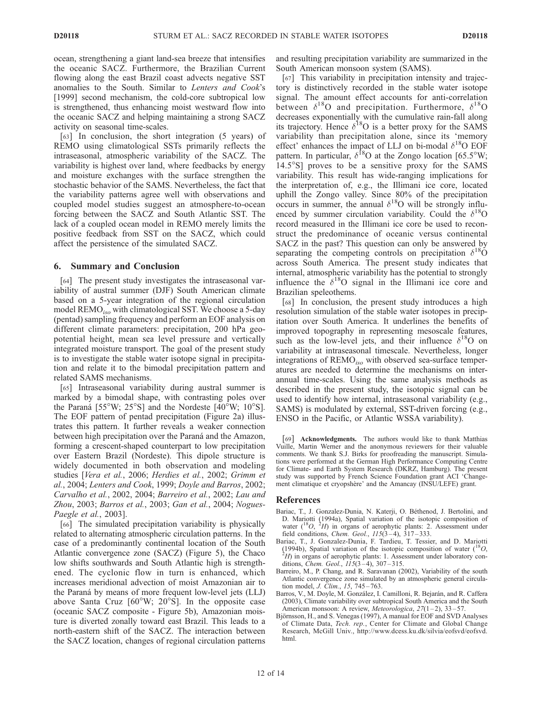ocean, strengthening a giant land-sea breeze that intensifies the oceanic SACZ. Furthermore, the Brazilian Current flowing along the east Brazil coast advects negative SST anomalies to the South. Similar to Lenters and Cook's [1999] second mechanism, the cold-core subtropical low is strengthened, thus enhancing moist westward flow into the oceanic SACZ and helping maintaining a strong SACZ activity on seasonal time-scales.

[63] In conclusion, the short integration (5 years) of REMO using climatological SSTs primarily reflects the intraseasonal, atmospheric variability of the SACZ. The variability is highest over land, where feedbacks by energy and moisture exchanges with the surface strengthen the stochastic behavior of the SAMS. Nevertheless, the fact that the variability patterns agree well with observations and coupled model studies suggest an atmosphere-to-ocean forcing between the SACZ and South Atlantic SST. The lack of a coupled ocean model in REMO merely limits the positive feedback from SST on the SACZ, which could affect the persistence of the simulated SACZ.

#### 6. Summary and Conclusion

[64] The present study investigates the intraseasonal variability of austral summer (DJF) South American climate based on a 5-year integration of the regional circulation model  $\text{REMO}_{iso}$  with climatological SST. We choose a 5-day (pentad) sampling frequency and perform an EOF analysis on different climate parameters: precipitation, 200 hPa geopotential height, mean sea level pressure and vertically integrated moisture transport. The goal of the present study is to investigate the stable water isotope signal in precipitation and relate it to the bimodal precipitation pattern and related SAMS mechanisms.

[65] Intraseasonal variability during austral summer is marked by a bimodal shape, with contrasting poles over the Paraná [55°W; 25°S] and the Nordeste [40°W; 10°S]. The EOF pattern of pentad precipitation (Figure 2a) illustrates this pattern. It further reveals a weaker connection between high precipitation over the Paraná and the Amazon, forming a crescent-shaped counterpart to low precipitation over Eastern Brazil (Nordeste). This dipole structure is widely documented in both observation and modeling studies [Vera et al., 2006; Herdies et al., 2002; Grimm et al., 2004; Lenters and Cook, 1999; Doyle and Barros, 2002; Carvalho et al., 2002, 2004; Barreiro et al., 2002; Lau and Zhou, 2003; Barros et al., 2003; Gan et al., 2004; Nogues-Paegle et al., 2003].

[66] The simulated precipitation variability is physically related to alternating atmospheric circulation patterns. In the case of a predominantly continental location of the South Atlantic convergence zone (SACZ) (Figure 5), the Chaco low shifts southwards and South Atlantic high is strengthened. The cyclonic flow in turn is enhanced, which increases meridional advection of moist Amazonian air to the Paraná by means of more frequent low-level jets (LLJ) above Santa Cruz  $[60^{\circ}W; 20^{\circ}S]$ . In the opposite case (oceanic SACZ composite - Figure 5b), Amazonian moisture is diverted zonally toward east Brazil. This leads to a north-eastern shift of the SACZ. The interaction between the SACZ location, changes of regional circulation patterns and resulting precipitation variability are summarized in the South American monsoon system (SAMS).

[67] This variability in precipitation intensity and trajectory is distinctively recorded in the stable water isotope signal. The amount effect accounts for anti-correlation between  $\delta^{18}$ O and precipitation. Furthermore,  $\delta^{18}$ O decreases exponentially with the cumulative rain-fall along its trajectory. Hence  $\delta^{18}O$  is a better proxy for the SAMS variability than precipitation alone, since its 'memory effect' enhances the impact of LLJ on bi-modal  $\delta^{18}O$  EOF pattern. In particular,  $\delta^{18}$ O at the Zongo location [65.5°W;  $14.5^{\circ}$ S] proves to be a sensitive proxy for the SAMS variability. This result has wide-ranging implications for the interpretation of, e.g., the Illimani ice core, located uphill the Zongo valley. Since 80% of the precipitation occurs in summer, the annual  $\delta^{18}O$  will be strongly influenced by summer circulation variability. Could the  $\delta^{18}O$ record measured in the Illimani ice core be used to reconstruct the predominance of oceanic versus continental SACZ in the past? This question can only be answered by separating the competing controls on precipitation  $\delta^{18}$ O across South America. The present study indicates that internal, atmospheric variability has the potential to strongly influence the  $\delta^{18}O$  signal in the Illimani ice core and Brazilian speleothems.

[68] In conclusion, the present study introduces a high resolution simulation of the stable water isotopes in precipitation over South America. It underlines the benefits of improved topography in representing mesoscale features, such as the low-level jets, and their influence  $\delta^{18}O$  on variability at intraseasonal timescale. Nevertheless, longer integrations of REMO<sub>iso</sub> with observed sea-surface temperatures are needed to determine the mechanisms on interannual time-scales. Using the same analysis methods as described in the present study, the isotopic signal can be used to identify how internal, intraseasonal variability (e.g., SAMS) is modulated by external, SST-driven forcing (e.g., ENSO in the Pacific, or Atlantic WSSA variability).

[69] Acknowledgments. The authors would like to thank Matthias Vuille, Martin Werner and the anonymous reviewers for their valuable comments. We thank S.J. Birks for proofreading the manuscript. Simulations were performed at the German High Performance Computing Centre for Climate- and Earth System Research (DKRZ, Hamburg). The present study was supported by French Science Foundation grant ACI 'Changement climatique et cryopshère' and the Amancay (INSU/LEFE) grant.

#### References

- Bariac, T., J. Gonzalez-Dunia, N. Katerji, O. Béthenod, J. Bertolini, and D. Mariotti (1994a), Spatial variation of the isotopic composition of water  $\binom{18}{,}$   $\frac{2}{,}$  in organs of aerophytic plants: 2. Assessment under field conditions, *Chem. Geol.*,  $115(3-4)$ ,  $317-333$ .
- Bariac, T., J. Gonzalez-Dunia, F. Tardieu, T. Tessier, and D. Mariotti (1994b), Spatial variation of the isotopic composition of water  $(^{18}O,$  $H$ ) in organs of aerophytic plants: 1. Assessment under laboratory conditions, *Chem. Geol.*,  $115(3-4)$ , 307-315.
- Barreiro, M., P. Chang, and R. Saravanan (2002), Variability of the south Atlantic convergence zone simulated by an atmospheric general circulation model, *J. Clim.*, 15, 745-763.
- Barros, V., M. Doyle, M. González, I. Camilloni, R. Bejarán, and R. Caffera (2003), Climate variability over subtropical South America and the South American monsoon: A review, Meteorologica, 27(1-2), 33-57.
- Björnsson, H., and S. Venegas (1997), A manual for EOF and SVD Analyses of Climate Data, Tech. rep., Center for Climate and Global Change Research, McGill Univ., http://www.dcess.ku.dk/silvia/eofsvd/eofsvd. html.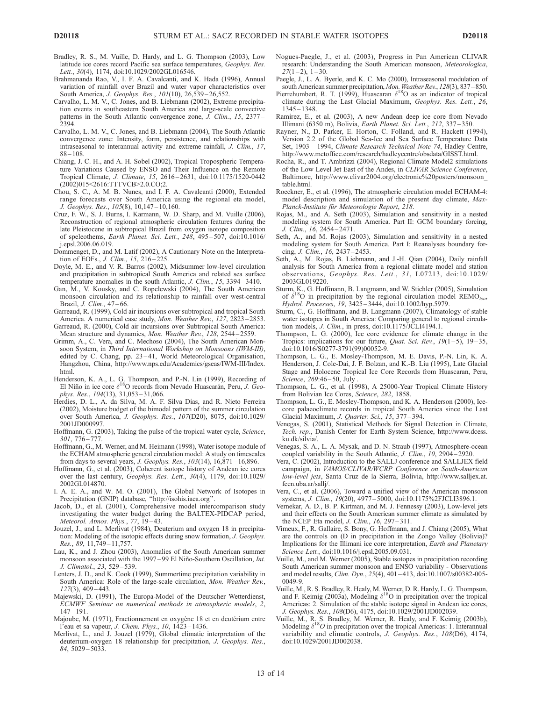- Bradley, R. S., M. Vuille, D. Hardy, and L. G. Thompson (2003), Low latitude ice cores record Pacific sea surface temperatures, Geophys. Res. Lett., 30(4), 1174, doi:10.1029/2002GL016546.
- Brahmananda Rao, V., I. F. A. Cavalcanti, and K. Hada (1996), Annual variation of rainfall over Brazil and water vapor characteristics over South America, J. Geophys. Res., 101(10), 26,539-26,552.
- Carvalho, L. M. V., C. Jones, and B. Liebmann (2002), Extreme precipitation events in southeastern South America and large-scale convective patterns in the South Atlantic convergence zone, J. Clim., 15, 2377-2394.
- Carvalho, L. M. V., C. Jones, and B. Liebmann (2004), The South Atlantic convergence zone: Intensity, form, persistence, and relationships with intraseasonal to interannual activity and extreme rainfall, J. Clim., 17, 88 – 108.
- Chiang, J. C. H., and A. H. Sobel (2002), Tropical Tropospheric Temperature Variations Caused by ENSO and Their Influence on the Remote Tropical Climate, J. Climate, 15, 2616 – 2631, doi:10.1175/1520-0442 (2002)015<2616:TTTVCB>2.0.CO;2.
- Chou, S. C., A. M. B. Nunes, and I. F. A. Cavalcanti (2000), Extended range forecasts over South America using the regional eta model, J. Geophys. Res., 105(8), 10,147 – 10,160.
- Cruz, F. W., S. J. Burns, I. Karmann, W. D. Sharp, and M. Vuille (2006), Reconstruction of regional atmospheric circulation features during the late Pleistocene in subtropical Brazil from oxygen isotope composition of speleothems, Earth Planet. Sci. Lett., 248, 495 – 507, doi:10.1016/ j.epsl.2006.06.019.
- Dommenget, D., and M. Latif (2002), A Cautionary Note on the Interpretation of EOFs., *J. Clim.*, 15, 216-225.
- Doyle, M. E., and V. R. Barros (2002), Midsummer low-level circulation and precipitation in subtropical South America and related sea surface temperature anomalies in the south Atlantic, J. Clim., 15, 3394-3410.
- Gan, M., V. Kousky, and C. Ropelewski (2004), The South American monsoon circulation and its relationship to rainfall over west-central Brazil, *J. Clim.*, 47-66.
- Garreaud, R. (1999), Cold air incursions over subtropical and tropical South America. A numerical case study, Mon. Weather Rev., 127, 2823 – 2853.
- Garreaud, R. (2000), Cold air incursions over Subtropical South America: Mean structure and dynamics, Mon. Weather Rev., 128, 2544 – 2559.
- Grimm, A., C. Vera, and C. Mechoso (2004), The South American Monsoon System, in Third International Workshop on Monsoons (IWM-III), edited by C. Chang, pp. 23-41, World Meteorological Organisation, Hangzhou, China, http://www.nps.edu/Academics/gseas/IWM-III/Index. html.
- Henderson, K. A., L. G. Thompson, and P.-N. Lin (1999), Recording of El Niño in ice core  $\delta^{18}O$  records from Nevado Huascarán, Peru, *J. Geo*phys. Res., 104(13), 31,053-31,066.
- Herdies, D. L., A. da Silva, M. A. F. Silva Dias, and R. Nieto Ferreira (2002), Moisture budget of the bimodal pattern of the summer circulation over South America, J. Geophys. Res., 107(D20), 8075, doi:10.1029/ 2001JD000997.
- Hoffmann, G. (2003), Taking the pulse of the tropical water cycle, Science, 301, 776 – 777.
- Hoffmann, G., M. Werner, and M. Heimann (1998), Water isotope module of the ECHAM atmospheric general circulation model: A study on timescales from days to several years, J. Geophys. Res., 103(14), 16,871 – 16,896.
- Hoffmann, G., et al. (2003), Coherent isotope history of Andean ice cores over the last century, Geophys. Res. Lett., 30(4), 1179, doi:10.1029/ 2002GL014870.
- I. A. E. A., and W. M. O. (2001), The Global Network of Isotopes in Precipitation (GNIP) database, ''http://isohis.iaea.org''.
- Jacob, D., et al. (2001), Comprehensive model intercomparison study investigating the water budget during the BALTEX-PIDCAP period, Meteorol. Atmos. Phys., 77, 19-43.
- Jouzel, J., and L. Merlivat (1984), Deuterium and oxygen 18 in precipitation: Modeling of the isotopic effects during snow formation, J. Geophys. Res., 89, 11,749 – 11,757.
- Lau, K., and J. Zhou (2003), Anomalies of the South American summer monsoon associated with the 1997-99 El Niño-Southern Oscillation, Int. J. Climatol., 23, 529 – 539.
- Lenters, J. D., and K. Cook (1999), Summertime precipitation variability in South America: Role of the large-scale circulation, Mon. Weather Rev.,  $127(3)$ ,  $409 - 443$ .
- Majewski, D. (1991), The Europa-Model of the Deutscher Wetterdienst, ECMWF Seminar on numerical methods in atmospheric models, 2, 147 – 191.
- Majoube, M. (1971), Fractionnement en oxygène 18 et en deutérium entre l'eau et sa vapeur, J. Chem. Phys., 10, 1423 – 1436.
- Merlivat, L., and J. Jouzel (1979), Global climatic interpretation of the deuterium-oxygen 18 relationship for precipitation, J. Geophys. Res., 84, 5029 – 5033.
- Nogues-Paegle, J., et al. (2003), Progress in Pan American CLIVAR research: Understanding the South American monsoon, Meteorologica,  $27(1-2), 1-30.$
- Paegle, J., L. A. Byerle, and K. C. Mo (2000), Intraseasonal modulation of south American summer precipitation, Mon. Weather Rev., 128(3), 837 – 850.
- Pierrehumbert, R. T. (1999), Huascaran  $\delta^{18}$ O as an indicator of tropical climate during the Last Glacial Maximum, Geophys. Res. Lett., 26, 1345 – 1348.
- Ramirez, E., et al. (2003), A new Andean deep ice core from Nevado Illimani (6350 m), Bolivia, Earth Planet. Sci. Lett., 212, 337 – 350.
- Rayner, N., D. Parker, E. Horton, C. Folland, and R. Hackett (1994), Version 2.2 of the Global Sea-Ice and Sea Surface Temperature Data Set, 1903 - 1994, Climate Research Technical Note 74, Hadley Centre, http://www.metoffice.com/research/hadleycentre/obsdata/GISST.html.
- Rocha, R., and T. Ambrizzi (2004), Regional Climate Model2 simulations of the Low Level Jet East of the Andes, in CLIVAR Science Conference, Baltimore, http://www.clivar2004.org/electronic%20posters/monsoon\_ table.html.
- Roeckner, E., et al. (1996), The atmospheric circulation model ECHAM-4: model description and simulation of the present day climate, Max-Planck-Institute für Meteorologie Report, 218.
- Rojas, M., and A. Seth (2003), Simulation and sensitivity in a nested modeling system for South America. Part II: GCM boundary forcing, J. Clim., 16, 2454 – 2471.
- Seth, A., and M. Rojas (2003), Simulation and sensitivity in a nested modeling system for South America. Part I: Reanalyses boundary forcing, J. Clim., 16, 2437 – 2453.
- Seth, A., M. Rojas, B. Liebmann, and J.-H. Qian (2004), Daily rainfall analysis for South America from a regional climate model and station observations, Geophys. Res. Lett., 31, L07213, doi:10.1029/ 2003GL019220.
- Sturm, K., G. Hoffmann, B. Langmann, and W. Stichler (2005), Simulation of  $\delta^{18}O$  in precipitation by the regional circulation model REMO<sub>iso</sub>, Hydrol. Processes, 19, 3425 – 3444, doi:10.1002/hyp.5979.
- Sturm, C., G. Hoffmann, and B. Langmann (2007), Climatology of stable water isotopes in South America: Comparing general to regional circulation models, J. Clim., in press, doi:10.1175/JCLI4194.1.
- Thompson, L. G. (2000), Ice core evidence for climate change in the Tropics: implications for our future, *Quat. Sci. Rev.*,  $19(1-5)$ ,  $19-35$ , doi:10.1016/S0277-3791(99)00052-9.
- Thompson, L. G., E. Mosley-Thompson, M. E. Davis, P.-N. Lin, K. A. Henderson, J. Cole-Dai, J. F. Bolzan, and K.-B. Liu (1995), Late Glacial Stage and Holocene Tropical Ice Core Records from Huascaran, Peru, Science, 269:46-50, July
- Thompson, L. G., et al. (1998), A 25000-Year Tropical Climate History from Bolivian Ice Cores, Science, 282, 1858.
- Thompson, L. G., E. Mosley-Thompson, and K. A. Henderson (2000), Icecore palaeoclimate records in tropical South America since the Last Glacial Maximum, J. Quarter. Sci., 15, 377 – 394.
- Venegas, S. (2001), Statistical Methods for Signal Detection in Climate, Tech. rep., Danish Center for Earth System Science, http://www.dcess. ku.dk/silvia/.
- Venegas, S. A., L. A. Mysak, and D. N. Straub (1997), Atmosphere-ocean coupled variability in the South Atlantic, J. Clim., 10, 2904 – 2920.
- Vera, C. (2002), Introduction to the SALLJ conference and SALLJEX field campaign, in VAMOS/CLIVAR/WCRP Conference on South-American low-level jets, Santa Cruz de la Sierra, Bolivia, http://www.salljex.at. fcen.uba.ar/sallj/.
- Vera, C., et al. (2006), Toward a unified view of the American monsoon systems, J. Clim., 19(20), 4977 – 5000, doi:10.1175%2FJCLI3896.1.
- Vernekar, A. D., B. P. Kirtman, and M. J. Fennessy (2003), Low-level jets and their effects on the South American summer climate as simulated by the NCEP Eta model, J. Clim., 16, 297 – 311.
- Vimeux, F., R. Gallaire, S. Bony, G. Hoffmann, and J. Chiang (2005), What are the controls on (D in precipitation in the Zongo Valley (Bolivia)? Implications for the Illimani ice core interpretation, Earth and Planetary Science Lett., doi:10.1016/j.epsl.2005.09.031.
- Vuille, M., and M. Werner (2005), Stable isotopes in precipitation recording South American summer monsoon and ENSO variability - Observations and model results, Clim. Dyn., 25(4), 401 – 413, doi:10.1007/s00382-005- 0049-9.
- Vuille, M., R. S. Bradley, R. Healy, M. Werner, D. R. Hardy, L. G. Thompson, and F. Keimig (2003a), Modeling  $\delta^{18}O$  in precipitation over the tropical Americas: 2. Simulation of the stable isotope signal in Andean ice cores, J. Geophys. Res., 108(D6), 4175, doi:10.1029/2001JD002039.
- Vuille, M., R. S. Bradley, M. Werner, R. Healy, and F. Keimig (2003b), Modeling  $\delta^{18}O$  in precipitation over the tropical Americas: 1. Interannual variability and climatic controls, J. Geophys. Res., 108(D6), 4174, doi:10.1029/2001JD002038.